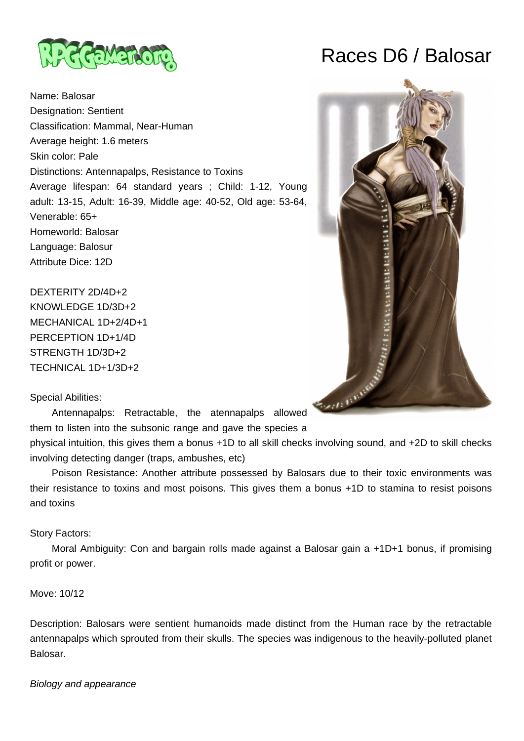

Name: Balosar Designation: Sentient Classification: Mammal, Near-Human Average height: 1.6 meters Skin color: Pale Distinctions: Antennapalps, Resistance to Toxins Average lifespan: 64 standard years ; Child: 1-12, Young adult: 13-15, Adult: 16-39, Middle age: 40-52, Old age: 53-64, Venerable: 65+ Homeworld: Balosar Language: Balosur Attribute Dice: 12D

DEXTERITY 2D/4D+2 KNOWLEDGE 1D/3D+2 MECHANICAL 1D+2/4D+1 PERCEPTION 1D+1/4D STRENGTH 1D/3D+2 TECHNICAL 1D+1/3D+2

## Special Abilities:

 Antennapalps: Retractable, the atennapalps allowed them to listen into the subsonic range and gave the species a

physical intuition, this gives them a bonus +1D to all skill checks involving sound, and +2D to skill checks involving detecting danger (traps, ambushes, etc)

 Poison Resistance: Another attribute possessed by Balosars due to their toxic environments was their resistance to toxins and most poisons. This gives them a bonus +1D to stamina to resist poisons and toxins

## Story Factors:

Moral Ambiguity: Con and bargain rolls made against a Balosar gain a +1D+1 bonus, if promising profit or power.

## Move: 10/12

Description: Balosars were sentient humanoids made distinct from the Human race by the retractable antennapalps which sprouted from their skulls. The species was indigenous to the heavily-polluted planet Balosar.

## Biology and appearance

# Races D6 / Balosar

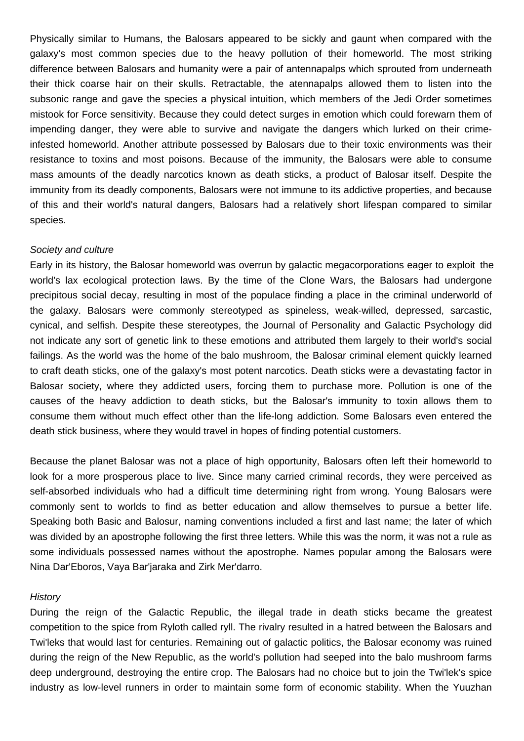Physically similar to Humans, the Balosars appeared to be sickly and gaunt when compared with the galaxy's most common species due to the heavy pollution of their homeworld. The most striking difference between Balosars and humanity were a pair of antennapalps which sprouted from underneath their thick coarse hair on their skulls. Retractable, the atennapalps allowed them to listen into the subsonic range and gave the species a physical intuition, which members of the Jedi Order sometimes mistook for Force sensitivity. Because they could detect surges in emotion which could forewarn them of impending danger, they were able to survive and navigate the dangers which lurked on their crimeinfested homeworld. Another attribute possessed by Balosars due to their toxic environments was their resistance to toxins and most poisons. Because of the immunity, the Balosars were able to consume mass amounts of the deadly narcotics known as death sticks, a product of Balosar itself. Despite the immunity from its deadly components, Balosars were not immune to its addictive properties, and because of this and their world's natural dangers, Balosars had a relatively short lifespan compared to similar species.

### Society and culture

Early in its history, the Balosar homeworld was overrun by galactic megacorporations eager to exploit the world's lax ecological protection laws. By the time of the Clone Wars, the Balosars had undergone precipitous social decay, resulting in most of the populace finding a place in the criminal underworld of the galaxy. Balosars were commonly stereotyped as spineless, weak-willed, depressed, sarcastic, cynical, and selfish. Despite these stereotypes, the Journal of Personality and Galactic Psychology did not indicate any sort of genetic link to these emotions and attributed them largely to their world's social failings. As the world was the home of the balo mushroom, the Balosar criminal element quickly learned to craft death sticks, one of the galaxy's most potent narcotics. Death sticks were a devastating factor in Balosar society, where they addicted users, forcing them to purchase more. Pollution is one of the causes of the heavy addiction to death sticks, but the Balosar's immunity to toxin allows them to consume them without much effect other than the life-long addiction. Some Balosars even entered the death stick business, where they would travel in hopes of finding potential customers.

Because the planet Balosar was not a place of high opportunity, Balosars often left their homeworld to look for a more prosperous place to live. Since many carried criminal records, they were perceived as self-absorbed individuals who had a difficult time determining right from wrong. Young Balosars were commonly sent to worlds to find as better education and allow themselves to pursue a better life. Speaking both Basic and Balosur, naming conventions included a first and last name; the later of which was divided by an apostrophe following the first three letters. While this was the norm, it was not a rule as some individuals possessed names without the apostrophe. Names popular among the Balosars were Nina Dar'Eboros, Vaya Bar'jaraka and Zirk Mer'darro.

#### **History**

During the reign of the Galactic Republic, the illegal trade in death sticks became the greatest competition to the spice from Ryloth called ryll. The rivalry resulted in a hatred between the Balosars and Twi'leks that would last for centuries. Remaining out of galactic politics, the Balosar economy was ruined during the reign of the New Republic, as the world's pollution had seeped into the balo mushroom farms deep underground, destroying the entire crop. The Balosars had no choice but to join the Twi'lek's spice industry as low-level runners in order to maintain some form of economic stability. When the Yuuzhan